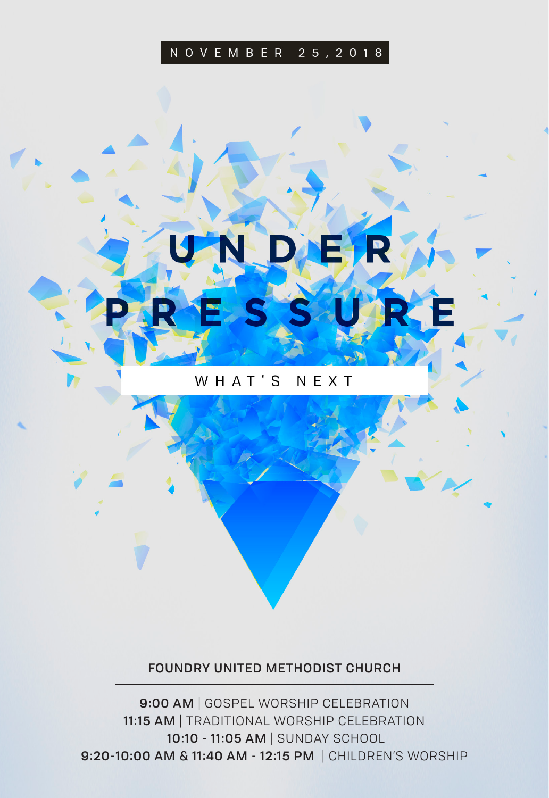#### NOVEMBER 25, 2018

## WHAT'S NEXT

#### FOUNDRY UNITED METHODIST CHURCH

9:00 AM | GOSPEL WORSHIP CELEBRATION 11:15 AM | TRADITIONAL WORSHIP CELEBRATION 10:10 - 11:05 AM | SUNDAY SCHOOL 9:20-10:00 AM & 11:40 AM - 12:15 PM | CHILDREN'S WORSHIP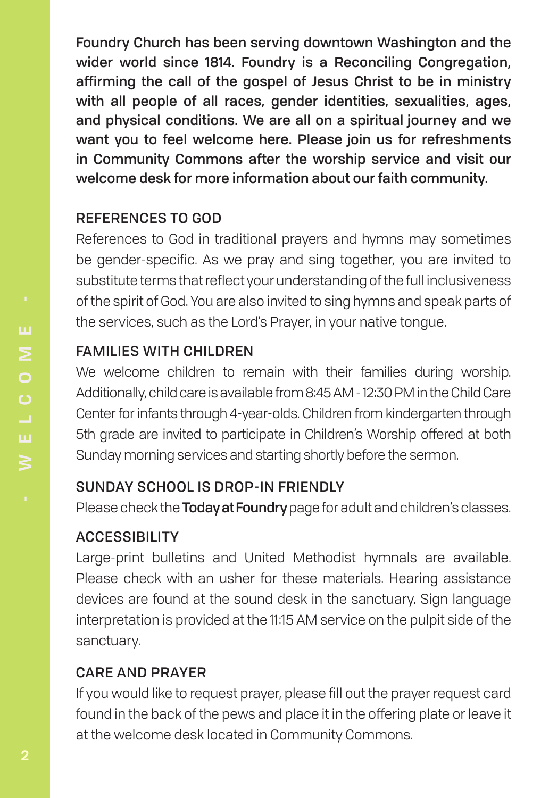Foundry Church has been serving downtown Washington and the wider world since 1814. Foundry is a Reconciling Congregation, affirming the call of the gospel of Jesus Christ to be in ministry with all people of all races, gender identities, sexualities, ages, and physical conditions. We are all on a spiritual journey and we want you to feel welcome here. Please join us for refreshments in Community Commons after the worship service and visit our welcome desk for more information about our faith community.

# REFERENCES TO GOD

References to God in traditional prayers and hymns may sometimes be gender-specific. As we pray and sing together, you are invited to substitute terms that reflect your understanding of the full inclusiveness of the spirit of God. You are also invited to sing hymns and speak parts of the services, such as the Lord's Prayer, in your native tongue.

# FAMILIES WITH CHILDREN

We welcome children to remain with their families during worship. Additionally, child care is available from 8:45 AM - 12:30 PM in the Child Care Center for infants through 4-year-olds. Children from kindergarten through 5th grade are invited to participate in Children's Worship offered at both Sunday morning services and starting shortly before the sermon.

# SUNDAY SCHOOL IS DROP-IN FRIENDLY

Please check the **Today at Foundry** page for adult and children's classes.

# ACCESSIBILITY

Large-print bulletins and United Methodist hymnals are available. Please check with an usher for these materials. Hearing assistance devices are found at the sound desk in the sanctuary. Sign language interpretation is provided at the 11:15 AM service on the pulpit side of the sanctuary.

# CARE AND PRAYER

If you would like to request prayer, please fill out the prayer request card found in the back of the pews and place it in the offering plate or leave it at the welcome desk located in Community Commons.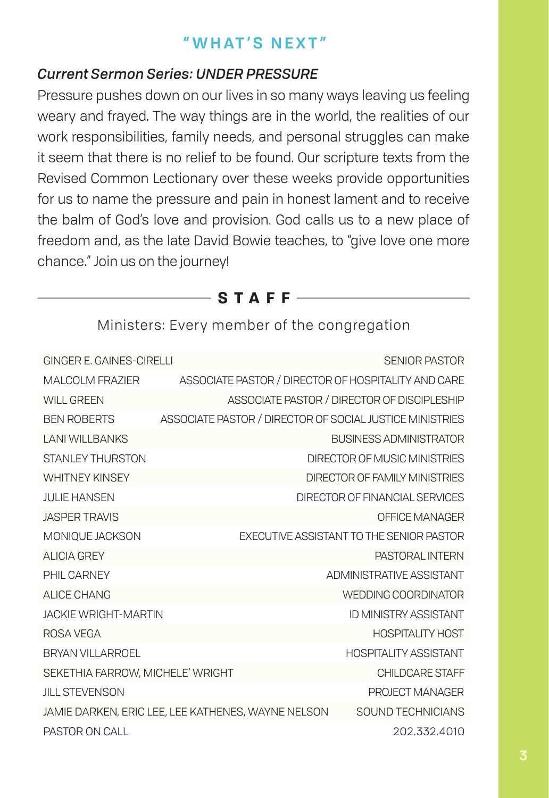# **"WHAT'S NEXT"**

## *Current Sermon Series: UNDER PRESSURE*

Pressure pushes down on our lives in so many ways leaving us feeling weary and frayed. The way things are in the world, the realities of our work responsibilities, family needs, and personal struggles can make it seem that there is no relief to be found. Our scripture texts from the Revised Common Lectionary over these weeks provide opportunities for us to name the pressure and pain in honest lament and to receive the balm of God's love and provision. God calls us to a new place of freedom and, as the late David Bowie teaches, to "give love one more chance." Join us on the journey!

**STAFF**

| GINGER E. GAINES-CIRELLI | SENIOR PASTOR                                            |
|--------------------------|----------------------------------------------------------|
| MALCOLM FRAZIER          | ASSOCIATE PASTOR / DIRECTOR OF HOSPITALITY AND CARE      |
| WILL GREEN               | ASSOCIATE PASTOR / DIRECTOR OF DISCIPLESHIP              |
| BEN ROBERTS              | ASSOCIATE PASTOR / DIRECTOR OF SOCIAL JUSTICE MINISTRIES |

Ministers: Every member of the congregation

| WILL GREEN                       |                                                          | ASSOCIATE PASTOR / DIRECTOR OF DISCIPLESHIP     |
|----------------------------------|----------------------------------------------------------|-------------------------------------------------|
| <b>BEN ROBERTS</b>               | ASSOCIATE PASTOR / DIRECTOR OF SOCIAL JUSTICE MINISTRIES |                                                 |
| <b>LANI WILLBANKS</b>            |                                                          | <b>BUSINESS ADMINISTRATOR</b>                   |
| STANI FY THURSTON                |                                                          | DIRECTOR OF MUSIC MINISTRIES                    |
| <b>WHITNEY KINSEY</b>            |                                                          | DIRECTOR OF FAMILY MINISTRIES                   |
| <b>JULIE HANSEN</b>              |                                                          | DIRECTOR OF FINANCIAL SERVICES                  |
| <b>JASPER TRAVIS</b>             |                                                          | <b>OFFICE MANAGER</b>                           |
| MONIOUE JACKSON                  |                                                          | <b>EXECUTIVE ASSISTANT TO THE SENIOR PASTOR</b> |
| ALICIA GREY                      |                                                          | PASTORAL INTERN                                 |
| <b>PHIL CARNEY</b>               |                                                          | ADMINISTRATIVE ASSISTANT                        |
| ALICE CHANG                      |                                                          | WEDDING COORDINATOR                             |
| <b>JACKIF WRIGHT-MARTIN</b>      |                                                          | ID MINISTRY ASSISTANT                           |
| ROSA VEGA                        |                                                          | <b>HOSPITALITY HOST</b>                         |
| BRYAN VII LARROFL                |                                                          | <b>HOSPITAL ITY ASSISTANT</b>                   |
| SEKETHIA FARROW, MICHELE' WRIGHT |                                                          | CHII DCARE STAFF                                |
| <b>JILL STEVENSON</b>            |                                                          | PROJECT MANAGER                                 |
|                                  | JAMIE DARKEN, ERIC LEE, LEE KATHENES, WAYNE NELSON       | SOUND TECHNICIANS                               |
| PASTOR ON CALL                   |                                                          | 202.332.4010                                    |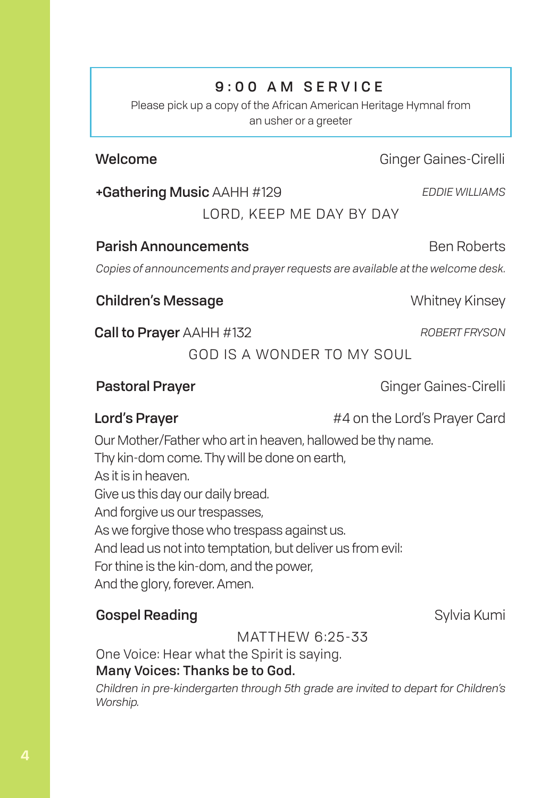# 9:00 AM SERVICE

Please pick up a copy of the African American Heritage Hymnal from an usher or a greeter

# Welcome **Ginger Gaines-Cirelli** Ginger Gaines-Cirelli

+Gathering Music AAHH #129 *EDDIE WILLIAMS*

LORD, KEEP ME DAY BY DAY

#### **Parish Announcements Ben Roberts** Ben Roberts

*Copies of announcements and prayer requests are available at the welcome desk.*

**Children's Message Whitney Kinsey** 

**Call to Prayer** AAHH #132 *ROBERT FRYSON* 

GOD IS A WONDER TO MY SOUL

## Pastoral Prayer Ginger Gaines-Cirelli

**Lord's Prayer Example 20 At 20 At 44 on the Lord's Prayer Card** 

Our Mother/Father who art in heaven, hallowed be thy name.

Thy kin-dom come. Thy will be done on earth, As it is in heaven. Give us this day our daily bread. And forgive us our trespasses, As we forgive those who trespass against us. And lead us not into temptation, but deliver us from evil: For thine is the kin-dom, and the power, And the glory, forever. Amen.

# Gospel Reading **Sylvia Kumi** Sylvia Kumi

MATTHEW 6:25-33

One Voice: Hear what the Spirit is saying. Many Voices: Thanks be to God.

*Children in pre-kindergarten through 5th grade are invited to depart for Children's Worship.*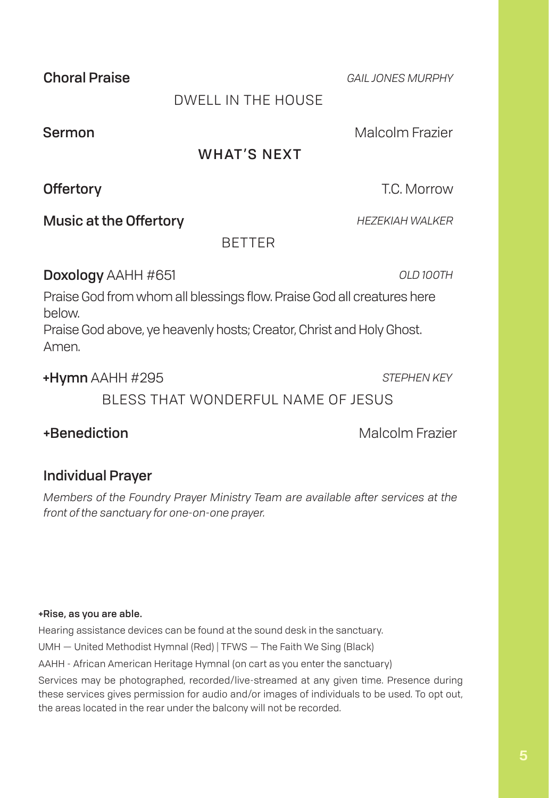Sermon **Malcolm Frazier** Malcolm Frazier

WHAT'S NEXT

**BETTER** 

**Music at the Offertory** *HEZEKIAH WALKER* 

Doxology AAHH #651 *OLD 100TH*

Praise God from whom all blessings flow. Praise God all creatures here below. Praise God above, ye heavenly hosts; Creator, Christ and Holy Ghost. Amen.

+Hymn AAHH #295 *STEPHEN KEY*

BLESS THAT WONDERFUL NAME OF JESUS

+Benediction Malcolm Frazier

# Individual Prayer

*Members of the Foundry Prayer Ministry Team are available after services at the front of the sanctuary for one-on-one prayer.*

#### +Rise, as you are able.

Hearing assistance devices can be found at the sound desk in the sanctuary.

UMH — United Methodist Hymnal (Red) | TFWS — The Faith We Sing (Black)

AAHH - African American Heritage Hymnal (on cart as you enter the sanctuary)

Services may be photographed, recorded/live-streamed at any given time. Presence during these services gives permission for audio and/or images of individuals to be used. To opt out, the areas located in the rear under the balcony will not be recorded.

# DWELL IN THE HOUSE

Offertory **Offertory T.C. Morrow** 

Choral Praise *GAIL JONES MURPHY*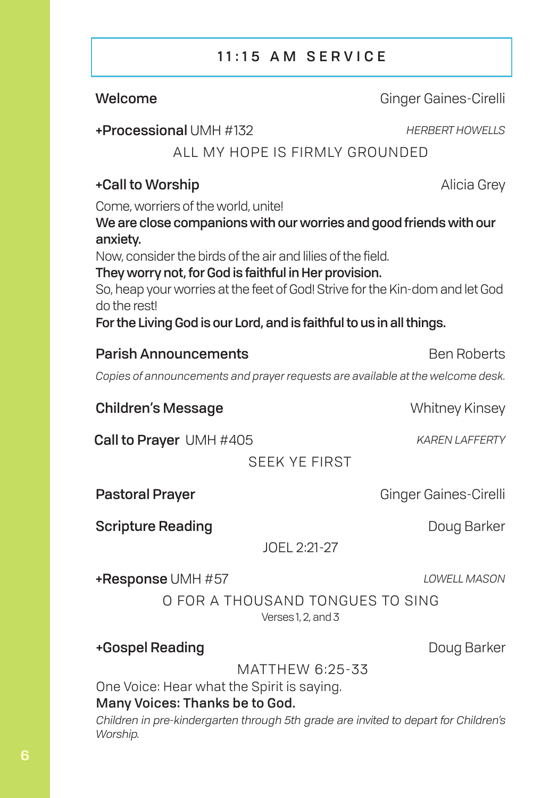# 11:15 AM SERVICE

Welcome **Ginger Gaines-Cirelli** 

## +Processional UMH #132 *HERBERT HOWELLS*

# ALL MY HOPE IS FIRMLY GROUNDED

# +Call to Worship **Alicia Grey**

Come, worriers of the world, unite!

We are close companions with our worries and good friends with our anxiety.

Now, consider the birds of the air and lilies of the field.

## They worry not, for God is faithful in Her provision.

So, heap your worries at the feet of God! Strive for the Kin-dom and let God do the rest!

For the Living God is our Lord, and is faithful to us in all things.

# **Parish Announcements** Ben Roberts

*Copies of announcements and prayer requests are available at the welcome desk.*

**Children's Message Children's Message Children's Message Children's Message Children's Message Children's Message Children's Message Children's Message Children's Message Children's Message Children's Message Children's M** 

Call to Prayer UMH #405 *KAREN LAFFERTY*

SEEK YE FIRST

Pastoral Prayer Gaines-Cirelli

Scripture Reading **Doug Barker** Doug Barker

JOEL 2:21-27

+Response UMH #57 *LOWELL MASON*

O FOR A THOUSAND TONGUES TO SING Verses 1, 2, and 3

+Gospel Reading **Doug Barker** 

MATTHEW 6:25-33

One Voice: Hear what the Spirit is saying.

## Many Voices: Thanks be to God.

*Children in pre-kindergarten through 5th grade are invited to depart for Children's Worship.*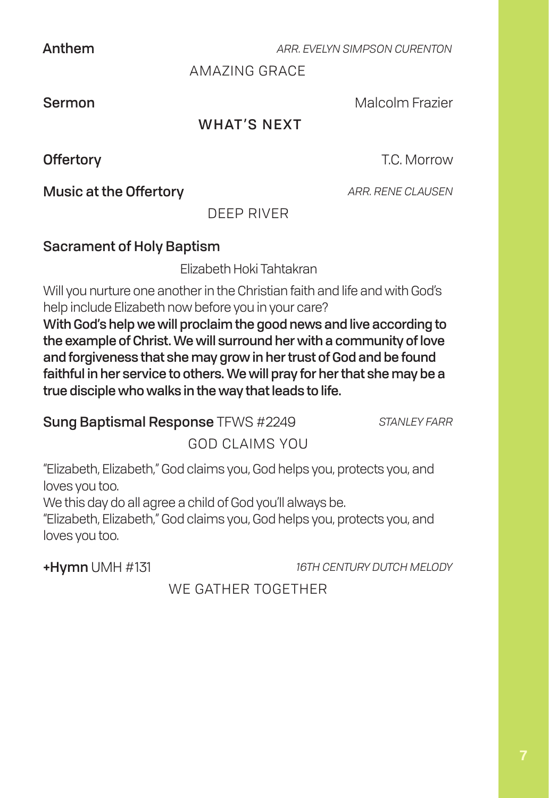Anthem *ARR. EVELYN SIMPSON CURENTON*

AMAZING GRACE

Sermon **Malcolm Frazier** Malcolm Frazier

# WHAT'S NEXT

**Music at the Offertory** *ARR. RENE CLAUSEN* 

Offertory **Contract Contract Contract Contract Contract Contract Contract Contract Contract Contract Contract Contract Contract Contract Contract Contract Contract Contract Contract Contract Contract Contract Contract Cont** 

DEEP RIVER

## Sacrament of Holy Baptism

Elizabeth Hoki Tahtakran

Will you nurture one another in the Christian faith and life and with God's help include Elizabeth now before you in your care?

With God's help we will proclaim the good news and live according to the example of Christ. We will surround her with a community of love and forgiveness that she may grow in her trust of God and be found faithful in her service to others. We will pray for her that she may be a true disciple who walks in the way that leads to life.

Sung Baptismal Response TFWS #2249 *STANLEY FARR*

GOD CLAIMS YOU

"Elizabeth, Elizabeth," God claims you, God helps you, protects you, and loves you too.

We this day do all agree a child of God you'll always be.

"Elizabeth, Elizabeth," God claims you, God helps you, protects you, and loves you too.

+Hymn UMH #131 *16TH CENTURY DUTCH MELODY*

# WE GATHER TOGETHER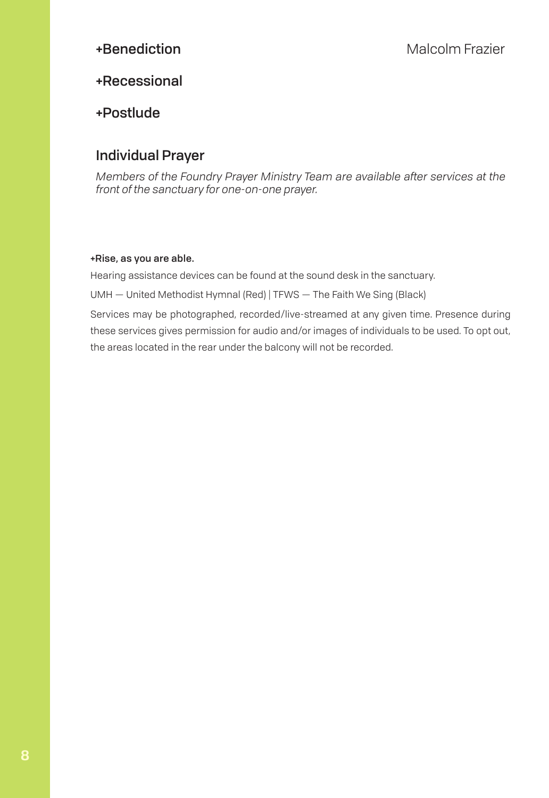#### +Recessional

#### +Postlude

#### Individual Prayer

*Members of the Foundry Prayer Ministry Team are available after services at the front of the sanctuary for one-on-one prayer.*

#### +Rise, as you are able.

Hearing assistance devices can be found at the sound desk in the sanctuary.

UMH — United Methodist Hymnal (Red) | TFWS — The Faith We Sing (Black)

Services may be photographed, recorded/live-streamed at any given time. Presence during these services gives permission for audio and/or images of individuals to be used. To opt out, the areas located in the rear under the balcony will not be recorded.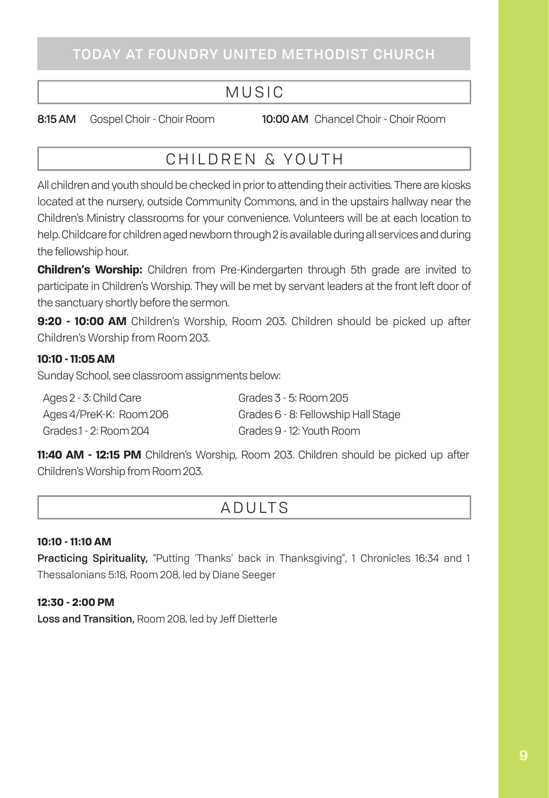# MUSIC

8:15 AM Gospel Choir - Choir Room 10:00 AM Chancel Choir - Choir Room

# CHILDREN & YOUTH

All children and youth should be checked in prior to attending their activities. There are kiosks located at the nursery, outside Community Commons, and in the upstairs hallway near the Children's Ministry classrooms for your convenience. Volunteers will be at each location to help. Childcare for children aged newborn through 2 is available during all services and during the fellowship hour.

**Children's Worship:** Children from Pre-Kindergarten through 5th grade are invited to participate in Children's Worship. They will be met by servant leaders at the front left door of the sanctuary shortly before the sermon.

**9:20 - 10:00 AM** Children's Worship, Room 203. Children should be picked up after Children's Worship from Room 203.

#### **10:10 - 11:05 AM**

Sunday School, see classroom assignments below:

| Ages 2 - 3: Child Care  | Grades 3 - 5: Room 205              |
|-------------------------|-------------------------------------|
| Ages 4/PreK-K: Room 206 | Grades 6 - 8: Fellowship Hall Stage |
| Grades 1 - 2: Room 204  | Grades 9 - 12: Youth Room           |

**11:40 AM - 12:15 PM** Children's Worship, Room 203. Children should be picked up after Children's Worship from Room 203.

# ADULTS

#### **10:10 - 11:10 AM**

Practicing Spirituality, "Putting 'Thanks' back in Thanksgiving", 1 Chronicles 16:34 and 1 Thessalonians 5:18, Room 208, led by Diane Seeger

#### **12:30 - 2:00 PM**

Loss and Transition, Room 208, led by Jeff Dietterle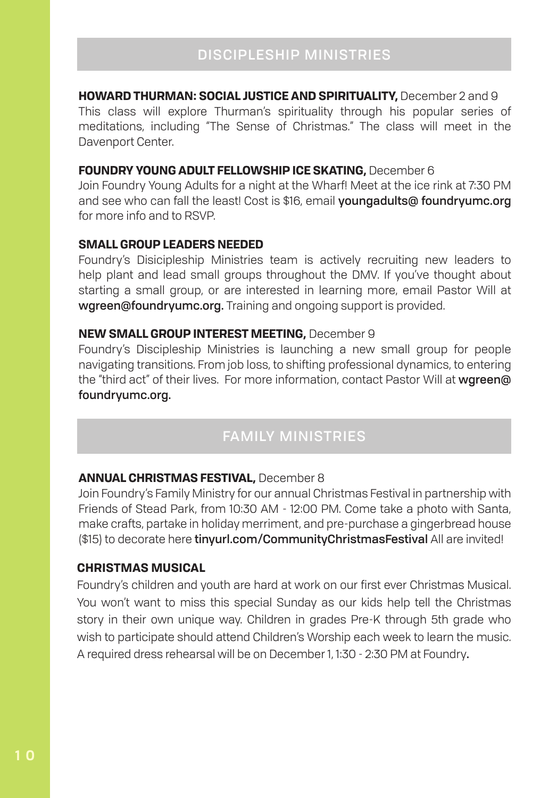#### **HOWARD THURMAN: SOCIAL JUSTICE AND SPIRITUALITY,** December 2 and 9

This class will explore Thurman's spirituality through his popular series of meditations, including "The Sense of Christmas." The class will meet in the Davenport Center.

#### **FOUNDRY YOUNG ADULT FELLOWSHIP ICE SKATING,** December 6

Join Foundry Young Adults for a night at the Wharf! Meet at the ice rink at 7:30 PM and see who can fall the least! Cost is \$16, email youngadults@ foundryumc.org for more info and to RSVP.

#### **SMALL GROUP LEADERS NEEDED**

Foundry's Disicipleship Ministries team is actively recruiting new leaders to help plant and lead small groups throughout the DMV. If you've thought about starting a small group, or are interested in learning more, email Pastor Will at wgreen@foundryumc.org. Training and ongoing support is provided.

#### **NEW SMALL GROUP INTEREST MEETING,** December 9

Foundry's Discipleship Ministries is launching a new small group for people navigating transitions. From job loss, to shifting professional dynamics, to entering the "third act" of their lives. For more information, contact Pastor Will at wgreen@ foundryumc.org.

# FAMILY MINISTRIES

#### **ANNUAL CHRISTMAS FESTIVAL,** December 8

Join Foundry's Family Ministry for our annual Christmas Festival in partnership with Friends of Stead Park, from 10:30 AM - 12:00 PM. Come take a photo with Santa, make crafts, partake in holiday merriment, and pre-purchase a gingerbread house (\$15) to decorate here tinyurl.com/CommunityChristmasFestival All are invited!

#### **CHRISTMAS MUSICAL**

Foundry's children and youth are hard at work on our first ever Christmas Musical. You won't want to miss this special Sunday as our kids help tell the Christmas story in their own unique way. Children in grades Pre-K through 5th grade who wish to participate should attend Children's Worship each week to learn the music. A required dress rehearsal will be on December 1, 1:30 - 2:30 PM at Foundry.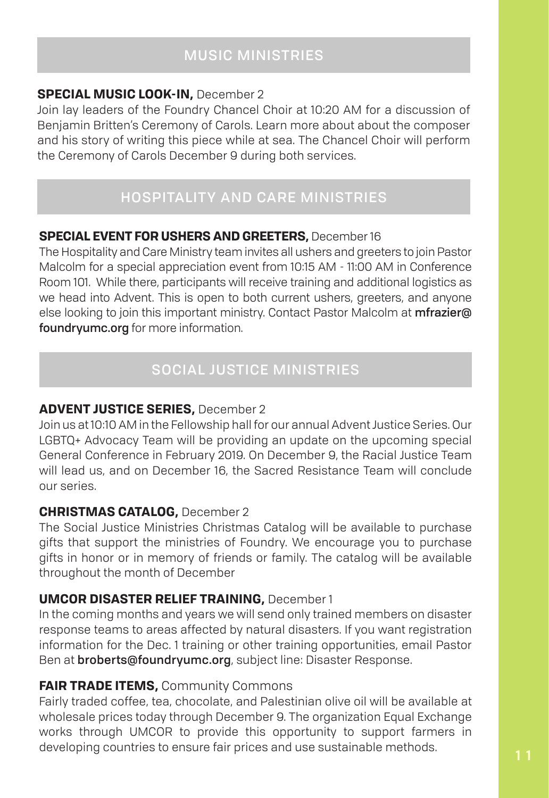#### **SPECIAL MUSIC LOOK-IN,** December 2

Join lay leaders of the Foundry Chancel Choir at 10:20 AM for a discussion of Benjamin Britten's Ceremony of Carols. Learn more about about the composer and his story of writing this piece while at sea. The Chancel Choir will perform the Ceremony of Carols December 9 during both services.

# HOSPITALITY AND CARE MINISTRIES

#### **SPECIAL EVENT FOR USHERS AND GREETERS,** December 16

The Hospitality and Care Ministry team invites all ushers and greeters to join Pastor Malcolm for a special appreciation event from 10:15 AM - 11:00 AM in Conference Room 101. While there, participants will receive training and additional logistics as we head into Advent. This is open to both current ushers, greeters, and anyone else looking to join this important ministry. Contact Pastor Malcolm at *mfrazier*@ foundryumc.org for more information.

# SOCIAL JUSTICE MINISTRIES

#### **ADVENT JUSTICE SERIES,** December 2

Join us at 10:10 AM in the Fellowship hall for our annual Advent Justice Series. Our LGBTQ+ Advocacy Team will be providing an update on the upcoming special General Conference in February 2019. On December 9, the Racial Justice Team will lead us, and on December 16, the Sacred Resistance Team will conclude our series.

#### **CHRISTMAS CATALOG,** December 2

The Social Justice Ministries Christmas Catalog will be available to purchase gifts that support the ministries of Foundry. We encourage you to purchase gifts in honor or in memory of friends or family. The catalog will be available throughout the month of December

## **UMCOR DISASTER RELIEF TRAINING,** December 1

In the coming months and years we will send only trained members on disaster response teams to areas affected by natural disasters. If you want registration information for the Dec. 1 training or other training opportunities, email Pastor Ben at broberts@foundryumc.org, subject line: Disaster Response.

## **FAIR TRADE ITEMS, Community Commons**

Fairly traded coffee, tea, chocolate, and Palestinian olive oil will be available at wholesale prices today through December 9. The organization Equal Exchange works through UMCOR to provide this opportunity to support farmers in developing countries to ensure fair prices and use sustainable methods.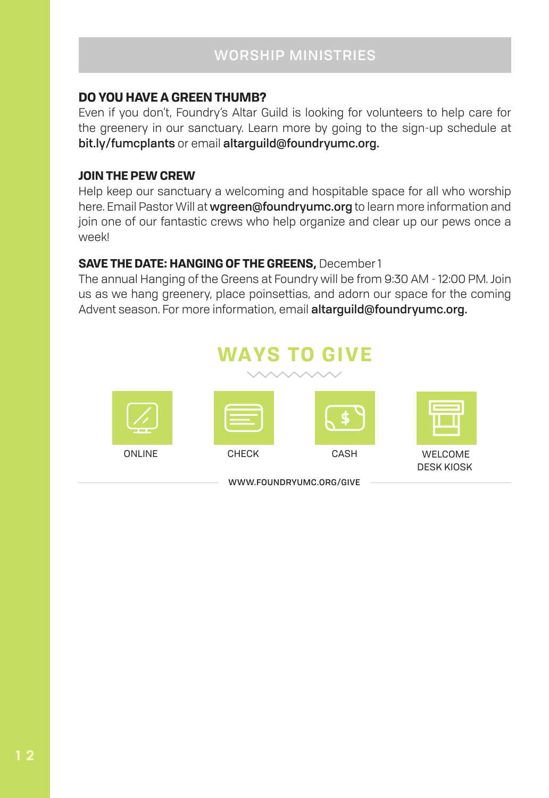#### **DO YOU HAVE A GREEN THUMB?**

Even if you don't, Foundry's Altar Guild is looking for volunteers to help care for the greenery in our sanctuary. Learn more by going to the sign-up schedule at bit.ly/fumcplants or email altarguild@foundryumc.org.

#### **JOIN THE PEW CREW**

Help keep our sanctuary a welcoming and hospitable space for all who worship here. Email Pastor Will at wgreen@foundryumc.org to learn more information and join one of our fantastic crews who help organize and clear up our pews once a week!

#### **SAVE THE DATE: HANGING OF THE GREENS,** December 1

The annual Hanging of the Greens at Foundry will be from 9:30 AM - 12:00 PM. Join us as we hang greenery, place poinsettias, and adorn our space for the coming Advent season. For more information, email altarguild@foundryumc.org.

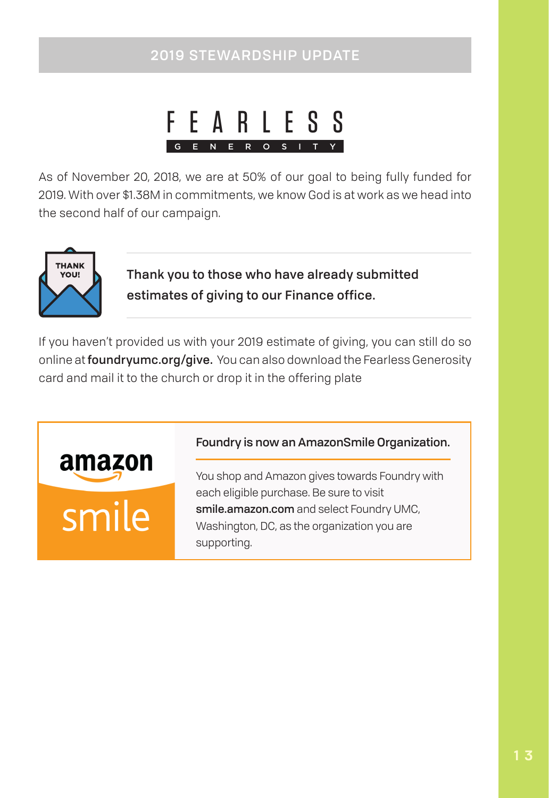# 2019 STEWARDSHIP UPDATE



As of November 20, 2018, we are at 50% of our goal to being fully funded for 2019. With over \$1.38M in commitments, we know God is at work as we head into the second half of our campaign.



Thank you to those who have already submitted estimates of giving to our Finance office.

If you haven't provided us with your 2019 estimate of giving, you can still do so online at foundryumc.org/give. You can also download the Fearless Generosity card and mail it to the church or drop it in the offering plate

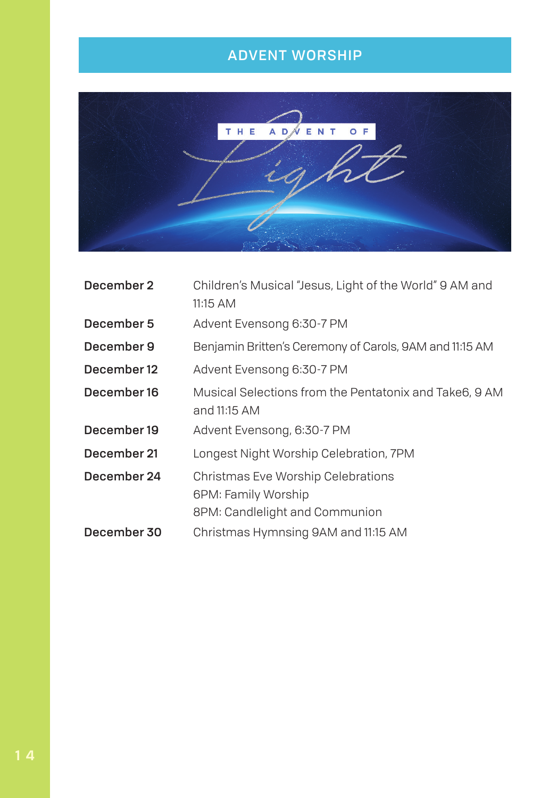# ADVENT WORSHIP



| December 2  | Children's Musical "Jesus, Light of the World" 9 AM and<br>11:15 AM |
|-------------|---------------------------------------------------------------------|
|             |                                                                     |
| December 5  | Advent Evensong 6:30-7 PM                                           |
| December 9  | Benjamin Britten's Ceremony of Carols, 9AM and 11:15 AM             |
| December 12 | Advent Evensong 6:30-7 PM                                           |
| December 16 | Musical Selections from the Pentatonix and Take6, 9 AM              |
|             | and 11:15 AM                                                        |
| December 19 | Advent Evensong, 6:30-7 PM                                          |
| December 21 | Longest Night Worship Celebration, 7PM                              |
| December 24 | Christmas Eve Worship Celebrations                                  |
|             | 6PM: Family Worship                                                 |
|             | 8PM: Candlelight and Communion                                      |
| December 30 | Christmas Hymnsing 9AM and 11:15 AM                                 |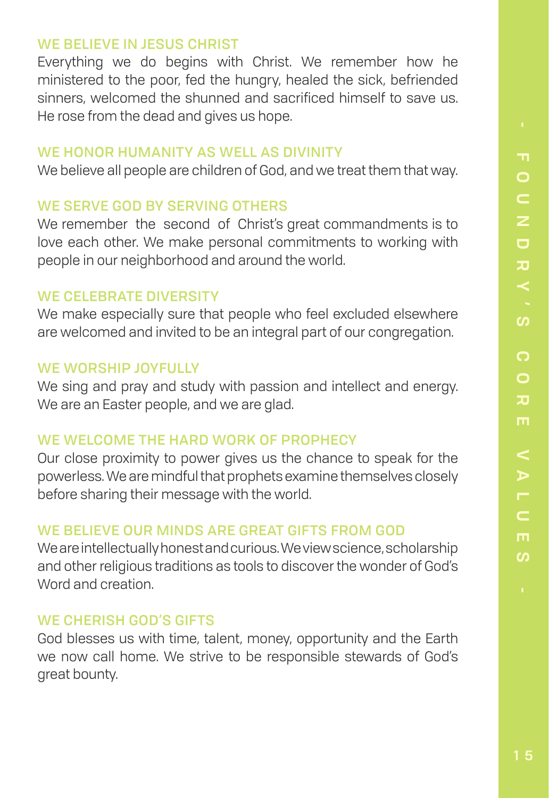#### WE BELIEVE IN JESUS CHRIST

Everything we do begins with Christ. We remember how he ministered to the poor, fed the hungry, healed the sick, befriended sinners, welcomed the shunned and sacrificed himself to save us. He rose from the dead and gives us hope.

#### WE HONOR HUMANITY AS WELL AS DIVINITY

We believe all people are children of God, and we treat them that way.

# WE SERVE GOD BY SERVING OTHERS

We remember the second of Christ's great commandments is to love each other. We make personal commitments to working with people in our neighborhood and around the world.

## WE CELEBRATE DIVERSITY

We make especially sure that people who feel excluded elsewhere are welcomed and invited to be an integral part of our congregation.

## WE WORSHIP JOYFULLY

We sing and pray and study with passion and intellect and energy. We are an Easter people, and we are glad.

# WE WELCOME THE HARD WORK OF PROPHECY

Our close proximity to power gives us the chance to speak for the powerless. We are mindful that prophets examine themselves closely before sharing their message with the world.

# WE BELIEVE OUR MINDS ARE GREAT GIFTS FROM GOD

We are intellectually honest and curious. We view science, scholarship and other religious traditions as tools to discover the wonder of God's Word and creation.

# WE CHERISH GOD'S GIFTS

God blesses us with time, talent, money, opportunity and the Earth we now call home. We strive to be responsible stewards of God's great bounty.